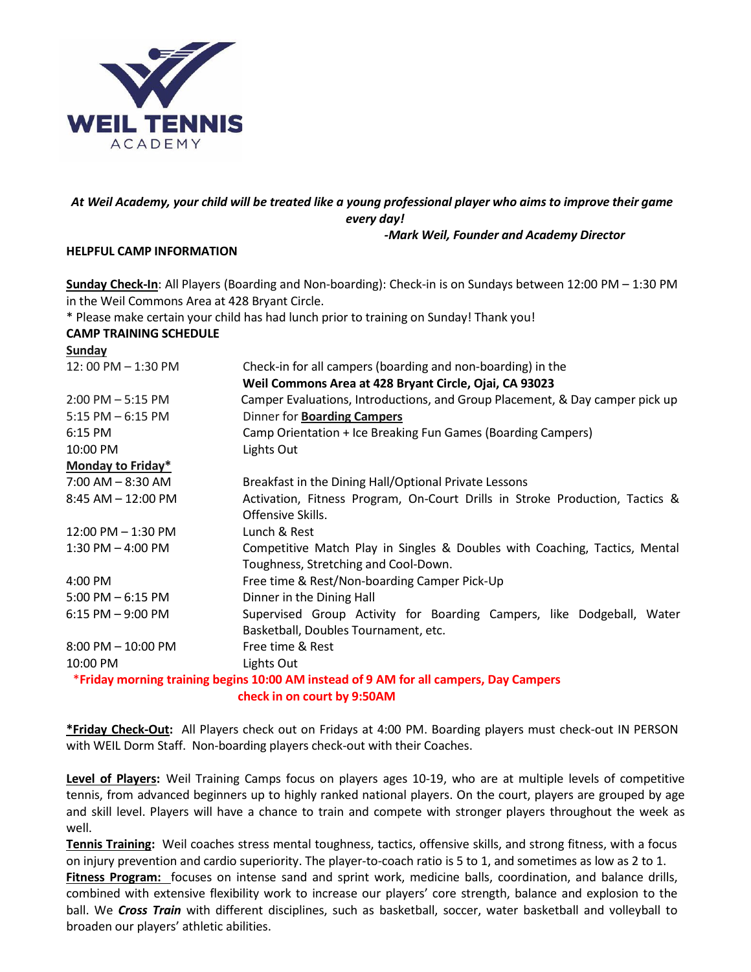

### *At Weil Academy, your child will be treated like a young professional player who aims to improve their game every day!*

#### *-Mark Weil, Founder and Academy Director*

#### **HELPFUL CAMP INFORMATION**

**Sunday Check-In**: All Players (Boarding and Non-boarding): Check-in is on Sundays between 12:00 PM – 1:30 PM in the Weil Commons Area at 428 Bryant Circle.

\* Please make certain your child has had lunch prior to training on Sunday! Thank you!

### **CAMP TRAINING SCHEDULE**

| <b>Sunday</b>          |                                                                                       |  |
|------------------------|---------------------------------------------------------------------------------------|--|
| 12:00 PM - 1:30 PM     | Check-in for all campers (boarding and non-boarding) in the                           |  |
|                        | Weil Commons Area at 428 Bryant Circle, Ojai, CA 93023                                |  |
| $2:00$ PM $-5:15$ PM   | Camper Evaluations, Introductions, and Group Placement, & Day camper pick up          |  |
| $5:15$ PM $-6:15$ PM   | <b>Dinner for Boarding Campers</b>                                                    |  |
| $6:15$ PM              | Camp Orientation + Ice Breaking Fun Games (Boarding Campers)                          |  |
| 10:00 PM               | Lights Out                                                                            |  |
| Monday to Friday*      |                                                                                       |  |
| $7:00$ AM $- 8:30$ AM  | Breakfast in the Dining Hall/Optional Private Lessons                                 |  |
| $8:45$ AM $- 12:00$ PM | Activation, Fitness Program, On-Court Drills in Stroke Production, Tactics &          |  |
|                        | Offensive Skills.                                                                     |  |
| $12:00$ PM $- 1:30$ PM | Lunch & Rest                                                                          |  |
| $1:30$ PM $-$ 4:00 PM  | Competitive Match Play in Singles & Doubles with Coaching, Tactics, Mental            |  |
|                        | Toughness, Stretching and Cool-Down.                                                  |  |
| 4:00 PM                | Free time & Rest/Non-boarding Camper Pick-Up                                          |  |
| $5:00$ PM $-6:15$ PM   | Dinner in the Dining Hall                                                             |  |
| $6:15$ PM $-9:00$ PM   | Supervised Group Activity for Boarding Campers, like Dodgeball, Water                 |  |
|                        | Basketball, Doubles Tournament, etc.                                                  |  |
| $8:00$ PM $- 10:00$ PM | Free time & Rest                                                                      |  |
| 10:00 PM               | Lights Out                                                                            |  |
|                        | *Friday morning training begins 10:00 AM instead of 9 AM for all campers, Day Campers |  |
|                        | check in on court by 9:50AM                                                           |  |

**\*Friday Check-Out:** All Players check out on Fridays at 4:00 PM. Boarding players must check-out IN PERSON with WEIL Dorm Staff. Non-boarding players check-out with their Coaches.

**Level of Players:** Weil Training Camps focus on players ages 10-19, who are at multiple levels of competitive tennis, from advanced beginners up to highly ranked national players. On the court, players are grouped by age and skill level. Players will have a chance to train and compete with stronger players throughout the week as well.

**Tennis Training:** Weil coaches stress mental toughness, tactics, offensive skills, and strong fitness, with a focus on injury prevention and cardio superiority. The player-to-coach ratio is 5 to 1, and sometimes as low as 2 to 1. **Fitness Program:** focuses on intense sand and sprint work, medicine balls, coordination, and balance drills, combined with extensive flexibility work to increase our players' core strength, balance and explosion to the ball. We *Cross Train* with different disciplines, such as basketball, soccer, water basketball and volleyball to broaden our players' athletic abilities.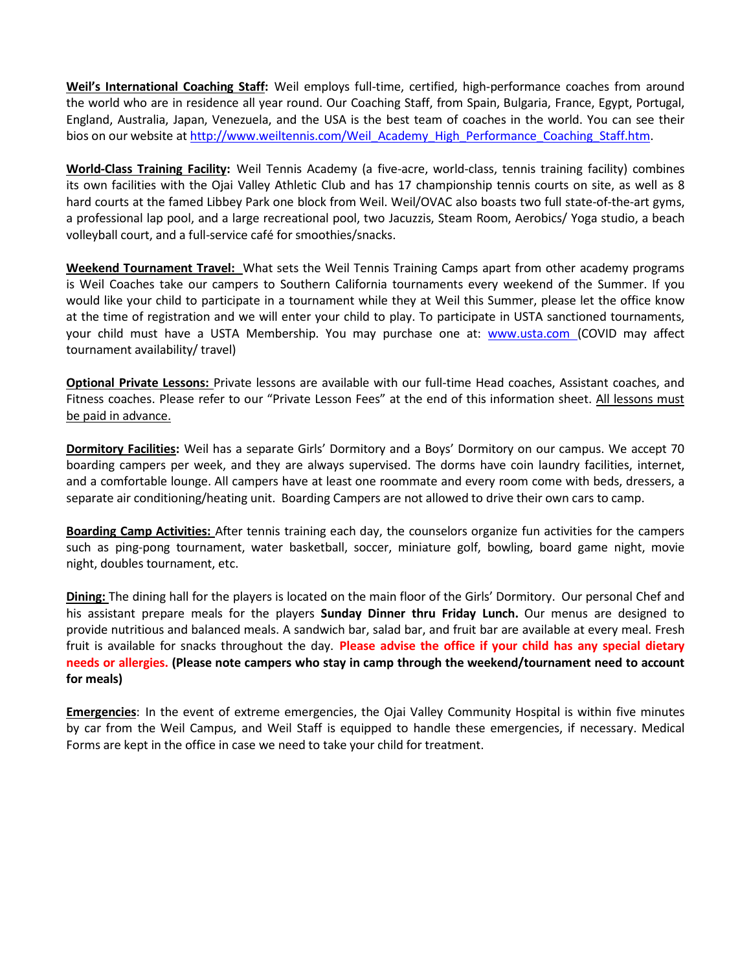**Weil's International Coaching Staff:** Weil employs full-time, certified, high-performance coaches from around the world who are in residence all year round. Our Coaching Staff, from Spain, Bulgaria, France, Egypt, Portugal, England, Australia, Japan, Venezuela, and the USA is the best team of coaches in the world. You can see their bios on our website at [http://www.weiltennis.com/Weil\\_Academy\\_High\\_Performance\\_Coaching\\_Staff.htm.](http://www.weiltennis.com/Weil_Academy_High_Performance_Coaching_Staff.htm)

**World-Class Training Facility:** Weil Tennis Academy (a five-acre, world-class, tennis training facility) combines its own facilities with the Ojai Valley Athletic Club and has 17 championship tennis courts on site, as well as 8 hard courts at the famed Libbey Park one block from Weil. Weil/OVAC also boasts two full state-of-the-art gyms, a professional lap pool, and a large recreational pool, two Jacuzzis, Steam Room, Aerobics/ Yoga studio, a beach volleyball court, and a full-service café for smoothies/snacks.

**Weekend Tournament Travel:** What sets the Weil Tennis Training Camps apart from other academy programs is Weil Coaches take our campers to Southern California tournaments every weekend of the Summer. If you would like your child to participate in a tournament while they at Weil this Summer, please let the office know at the time of registration and we will enter your child to play. To participate in USTA sanctioned tournaments, your child must have a USTA Membership. You may purchase one at: [www.usta.com \(](http://www.usta.com/)COVID may affect tournament availability/ travel)

**Optional Private Lessons:** Private lessons are available with our full-time Head coaches, Assistant coaches, and Fitness coaches. Please refer to our "Private Lesson Fees" at the end of this information sheet. All lessons must be paid in advance.

**Dormitory Facilities:** Weil has a separate Girls' Dormitory and a Boys' Dormitory on our campus. We accept 70 boarding campers per week, and they are always supervised. The dorms have coin laundry facilities, internet, and a comfortable lounge. All campers have at least one roommate and every room come with beds, dressers, a separate air conditioning/heating unit. Boarding Campers are not allowed to drive their own cars to camp.

**Boarding Camp Activities:** After tennis training each day, the counselors organize fun activities for the campers such as ping-pong tournament, water basketball, soccer, miniature golf, bowling, board game night, movie night, doubles tournament, etc.

**Dining:** The dining hall for the players is located on the main floor of the Girls' Dormitory. Our personal Chef and his assistant prepare meals for the players **Sunday Dinner thru Friday Lunch.** Our menus are designed to provide nutritious and balanced meals. A sandwich bar, salad bar, and fruit bar are available at every meal. Fresh fruit is available for snacks throughout the day. **Please advise the office if your child has any special dietary needs or allergies. (Please note campers who stay in camp through the weekend/tournament need to account for meals)**

**Emergencies**: In the event of extreme emergencies, the Ojai Valley Community Hospital is within five minutes by car from the Weil Campus, and Weil Staff is equipped to handle these emergencies, if necessary. Medical Forms are kept in the office in case we need to take your child for treatment.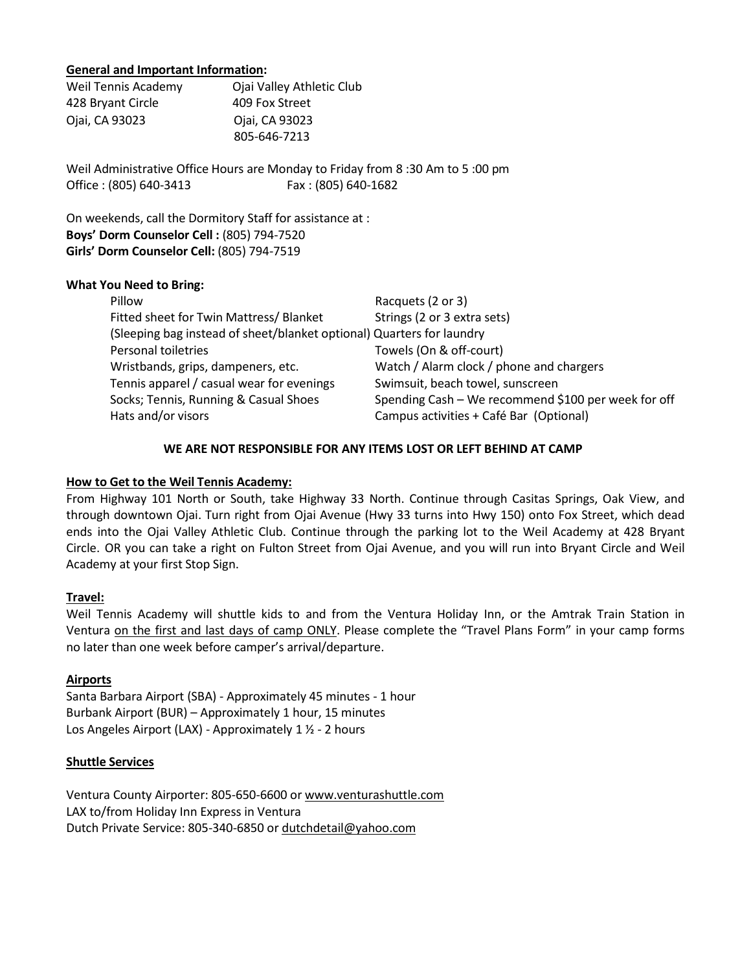#### **General and Important Information:**

| Weil Tennis Academy | Ojai Valley Athletic Club |
|---------------------|---------------------------|
| 428 Bryant Circle   | 409 Fox Street            |
| Ojai, CA 93023      | Ojai, CA 93023            |
|                     | 805-646-7213              |

Weil Administrative Office Hours are Monday to Friday from 8 :30 Am to 5 :00 pm Office : (805) 640-3413 Fax : (805) 640-1682

On weekends, call the Dormitory Staff for assistance at : **Boys' Dorm Counselor Cell :** (805) 794-7520 **Girls' Dorm Counselor Cell:** (805) 794-7519

#### **What You Need to Bring:**

| Pillow                                                                | Racquets (2 or 3)                                   |  |  |
|-----------------------------------------------------------------------|-----------------------------------------------------|--|--|
| Fitted sheet for Twin Mattress/ Blanket                               | Strings (2 or 3 extra sets)                         |  |  |
| (Sleeping bag instead of sheet/blanket optional) Quarters for laundry |                                                     |  |  |
| Personal toiletries                                                   | Towels (On & off-court)                             |  |  |
| Wristbands, grips, dampeners, etc.                                    | Watch / Alarm clock / phone and chargers            |  |  |
| Tennis apparel / casual wear for evenings                             | Swimsuit, beach towel, sunscreen                    |  |  |
| Socks; Tennis, Running & Casual Shoes                                 | Spending Cash - We recommend \$100 per week for off |  |  |
| Hats and/or visors                                                    | Campus activities + Café Bar (Optional)             |  |  |

#### **WE ARE NOT RESPONSIBLE FOR ANY ITEMS LOST OR LEFT BEHIND AT CAMP**

#### **How to Get to the Weil Tennis Academy:**

From Highway 101 North or South, take Highway 33 North. Continue through Casitas Springs, Oak View, and through downtown Ojai. Turn right from Ojai Avenue (Hwy 33 turns into Hwy 150) onto Fox Street, which dead ends into the Ojai Valley Athletic Club. Continue through the parking lot to the Weil Academy at 428 Bryant Circle. OR you can take a right on Fulton Street from Ojai Avenue, and you will run into Bryant Circle and Weil Academy at your first Stop Sign.

#### **Travel:**

Weil Tennis Academy will shuttle kids to and from the Ventura Holiday Inn, or the Amtrak Train Station in Ventura on the first and last days of camp ONLY. Please complete the "Travel Plans Form" in your camp forms no later than one week before camper's arrival/departure.

#### **Airports**

Santa Barbara Airport (SBA) - Approximately 45 minutes - 1 hour Burbank Airport (BUR) – Approximately 1 hour, 15 minutes Los Angeles Airport (LAX) - Approximately 1 ½ - 2 hours

#### **Shuttle Services**

Ventura County Airporter: 805-650-6600 or [www.venturashuttle.com](http://www.venturashuttle.com/) LAX to/from Holiday Inn Express in Ventura Dutch Private Service: 805-340-6850 o[r dutchdetail@yahoo.com](mailto:dutchdetail@yahoo.com)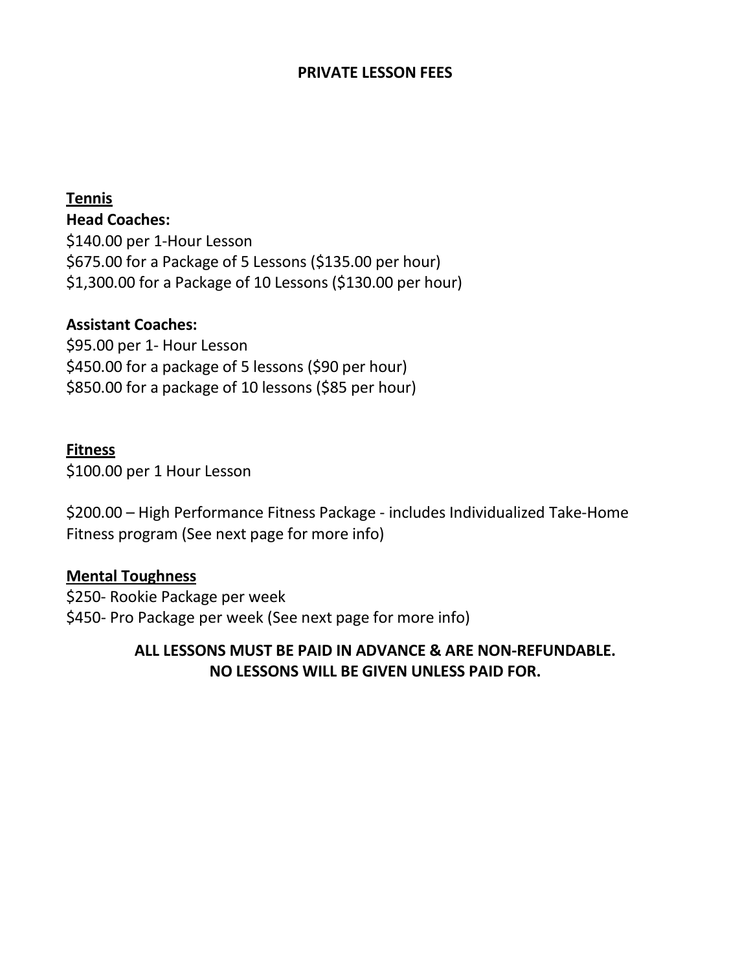## **PRIVATE LESSON FEES**

## **Tennis**

**Head Coaches:**

\$140.00 per 1-Hour Lesson \$675.00 for a Package of 5 Lessons (\$135.00 per hour) \$1,300.00 for a Package of 10 Lessons (\$130.00 per hour)

## **Assistant Coaches:**

\$95.00 per 1- Hour Lesson \$450.00 for a package of 5 lessons (\$90 per hour) \$850.00 for a package of 10 lessons (\$85 per hour)

## **Fitness**

\$100.00 per 1 Hour Lesson

\$200.00 – High Performance Fitness Package - includes Individualized Take-Home Fitness program (See next page for more info)

## **Mental Toughness**

\$250- Rookie Package per week \$450- Pro Package per week (See next page for more info)

# **ALL LESSONS MUST BE PAID IN ADVANCE & ARE NON-REFUNDABLE. NO LESSONS WILL BE GIVEN UNLESS PAID FOR.**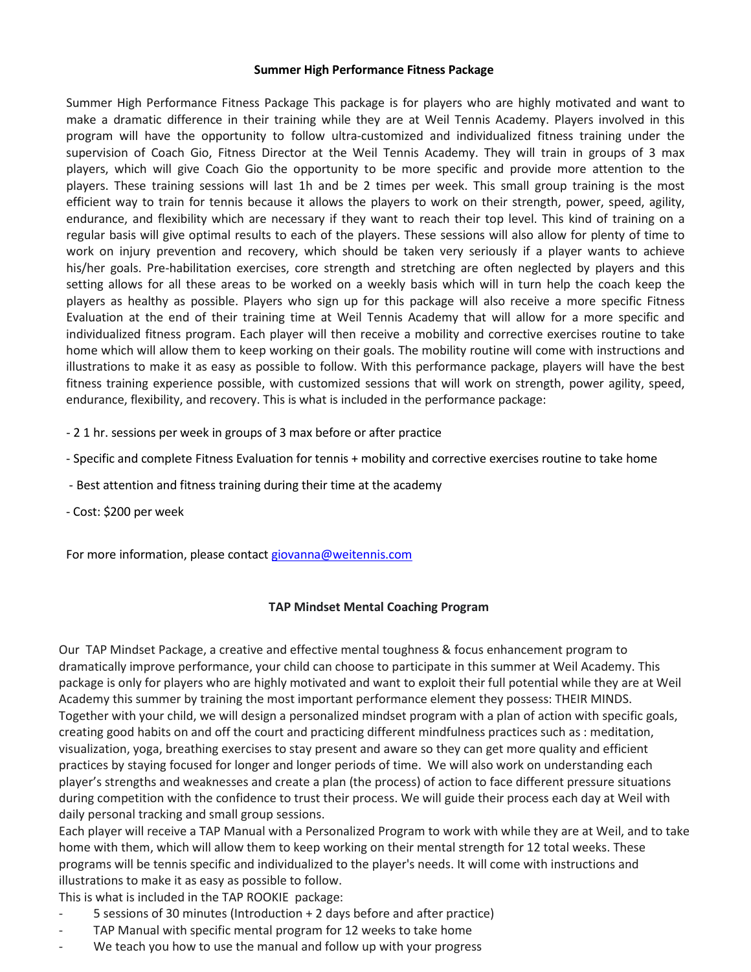#### **Summer High Performance Fitness Package**

Summer High Performance Fitness Package This package is for players who are highly motivated and want to make a dramatic difference in their training while they are at Weil Tennis Academy. Players involved in this program will have the opportunity to follow ultra-customized and individualized fitness training under the supervision of Coach Gio, Fitness Director at the Weil Tennis Academy. They will train in groups of 3 max players, which will give Coach Gio the opportunity to be more specific and provide more attention to the players. These training sessions will last 1h and be 2 times per week. This small group training is the most efficient way to train for tennis because it allows the players to work on their strength, power, speed, agility, endurance, and flexibility which are necessary if they want to reach their top level. This kind of training on a regular basis will give optimal results to each of the players. These sessions will also allow for plenty of time to work on injury prevention and recovery, which should be taken very seriously if a player wants to achieve his/her goals. Pre-habilitation exercises, core strength and stretching are often neglected by players and this setting allows for all these areas to be worked on a weekly basis which will in turn help the coach keep the players as healthy as possible. Players who sign up for this package will also receive a more specific Fitness Evaluation at the end of their training time at Weil Tennis Academy that will allow for a more specific and individualized fitness program. Each player will then receive a mobility and corrective exercises routine to take home which will allow them to keep working on their goals. The mobility routine will come with instructions and illustrations to make it as easy as possible to follow. With this performance package, players will have the best fitness training experience possible, with customized sessions that will work on strength, power agility, speed, endurance, flexibility, and recovery. This is what is included in the performance package:

- 2 1 hr. sessions per week in groups of 3 max before or after practice
- Specific and complete Fitness Evaluation for tennis + mobility and corrective exercises routine to take home
- Best attention and fitness training during their time at the academy
- Cost: \$200 per week

For more information, please contact [giovanna@weitennis.com](mailto:giovanna@weitennis.com)

### **TAP Mindset Mental Coaching Program**

Our TAP Mindset Package, a creative and effective mental toughness & focus enhancement program to dramatically improve performance, your child can choose to participate in this summer at Weil Academy. This package is only for players who are highly motivated and want to exploit their full potential while they are at Weil Academy this summer by training the most important performance element they possess: THEIR MINDS. Together with your child, we will design a personalized mindset program with a plan of action with specific goals, creating good habits on and off the court and practicing different mindfulness practices such as : meditation, visualization, yoga, breathing exercises to stay present and aware so they can get more quality and efficient practices by staying focused for longer and longer periods of time. We will also work on understanding each player's strengths and weaknesses and create a plan (the process) of action to face different pressure situations during competition with the confidence to trust their process. We will guide their process each day at Weil with daily personal tracking and small group sessions.

Each player will receive a TAP Manual with a Personalized Program to work with while they are at Weil, and to take home with them, which will allow them to keep working on their mental strength for 12 total weeks. These programs will be tennis specific and individualized to the player's needs. It will come with instructions and illustrations to make it as easy as possible to follow.

This is what is included in the TAP ROOKIE package:

- 5 sessions of 30 minutes (Introduction + 2 days before and after practice)
- TAP Manual with specific mental program for 12 weeks to take home
- We teach you how to use the manual and follow up with your progress